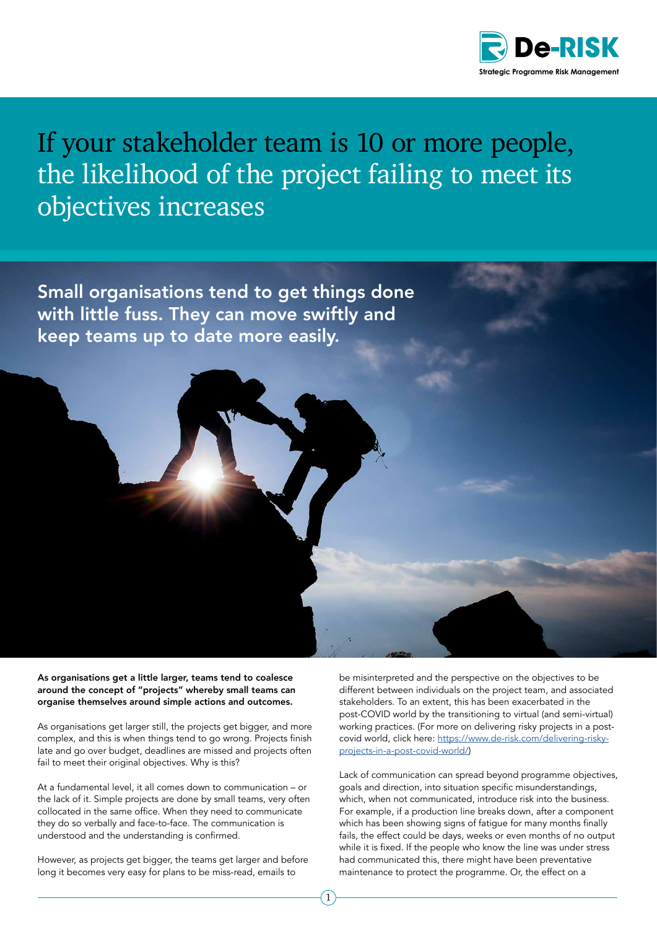

## If your stakeholder team is 10 or more people, the likelihood of the project failing to meet its objectives increases

Small organisations tend to get things done with little fuss. They can move swiftly and keep teams up to date more easily.

As organisations get a little larger, teams tend to coalesce around the concept of "projects" whereby small teams can organise themselves around simple actions and outcomes.

As organisations get larger still, the projects get bigger, and more complex, and this is when things tend to go wrong. Projects finish late and go over budget, deadlines are missed and projects often fail to meet their original objectives. Why is this?

At a fundamental level, it all comes down to communication – or the lack of it. Simple projects are done by small teams, very often collocated in the same office. When they need to communicate they do so verbally and face-to-face. The communication is understood and the understanding is confirmed.

However, as projects get bigger, the teams get larger and before long it becomes very easy for plans to be miss-read, emails to

be misinterpreted and the perspective on the objectives to be different between individuals on the project team, and associated stakeholders. To an extent, this has been exacerbated in the post-COVID world by the transitioning to virtual (and semi-virtual) working practices. (For more on delivering risky projects in a postcovid world, click here: [https://www.de-risk.com/delivering-risky](https://www.de-risk.com/delivering-risky-projects-in-a-post-covid-world/)[projects-in-a-post-covid-world/\)](https://www.de-risk.com/delivering-risky-projects-in-a-post-covid-world/)

Lack of communication can spread beyond programme objectives, goals and direction, into situation specific misunderstandings, which, when not communicated, introduce risk into the business. For example, if a production line breaks down, after a component which has been showing signs of fatigue for many months finally fails, the effect could be days, weeks or even months of no output while it is fixed. If the people who know the line was under stress had communicated this, there might have been preventative maintenance to protect the programme. Or, the effect on a